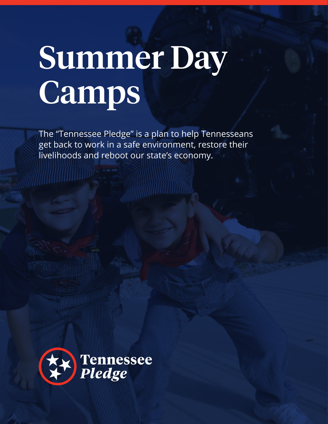# Summer Day Camps

The "Tennessee Pledge" is a plan to help Tennesseans get back to work in a safe environment, restore their livelihoods and reboot our state's economy.

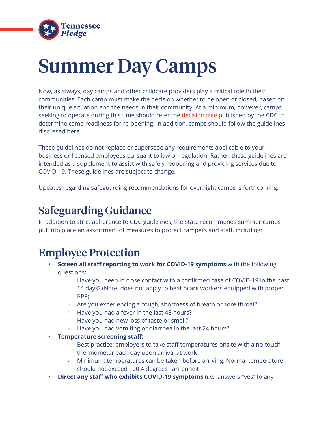

# Summer Day Camps

Now, as always, day camps and other childcare providers play a critical role in their communities. Each camp must make the decision whether to be open or closed, based on their unique situation and the needs in their community. At a minimum, however, camps seeking to operate during this time should refer the [decision tree](https://www.cdc.gov/coronavirus/2019-ncov/community/schools-childcare/Camps-Decision-Tree.pdf) published by the CDC to determine camp readiness for re-opening. In addition, camps should follow the guidelines discussed here.

These guidelines do not replace or supersede any requirements applicable to your business or licensed employees pursuant to law or regulation. Rather, these guidelines are intended as a supplement to assist with safely reopening and providing services due to COVID-19. These guidelines are subject to change.

Updates regarding safeguarding recommendations for overnight camps is forthcoming.

## Safeguarding Guidance

In addition to strict adherence to CDC guidelines, the State recommends summer camps put into place an assortment of measures to protect campers and staff, including:

### Employee Protection

- **Screen all staff reporting to work for COVID-19 symptoms** with the following questions:
	- Have you been in close contact with a confirmed case of COVID-19 in the past 14 days? (Note: does not apply to healthcare workers equipped with proper PPE)
	- Are you experiencing a cough, shortness of breath or sore throat?
	- Have you had a fever in the last 48 hours?
	- Have you had new loss of taste or smell?
	- Have you had vomiting or diarrhea in the last 24 hours?
- **Temperature screening staff:**
	- Best practice: employers to take staff temperatures onsite with a no-touch thermometer each day upon arrival at work
	- Minimum: temperatures can be taken before arriving. Normal temperature should not exceed 100.4 degrees Fahrenheit
- **Direct any staff who exhibits COVID-19 symptoms** (i.e., answers "yes" to any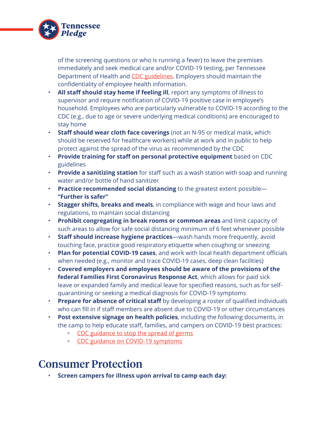

of the screening questions or who is running a fever) to leave the premises immediately and seek medical care and/or COVID-19 testing, per Tennessee Department of Health and [CDC guidelines.](https://www.cdc.gov/coronavirus/2019-ncov/community/guidance-small-business.html) Employers should maintain the confidentiality of employee health information.

- **All staff should stay home if feeling ill**, report any symptoms of illness to supervisor and require notification of COVID-19 positive case in employee's household. Employees who are particularly vulnerable to COVID-19 according to the CDC (e.g., due to age or severe underlying medical conditions) are encouraged to stay home
- **Staff should wear cloth face coverings** (not an N-95 or medical mask, which should be reserved for healthcare workers) while at work and in public to help protect against the spread of the virus as recommended by the CDC
- **Provide training for staff on personal protective equipment** based on CDC guidelines
- **Provide a sanitizing station** for staff such as a wash station with soap and running water and/or bottle of hand sanitizer
- **Practice recommended social distancing** to the greatest extent possible— **"Further is safer"**
- **Stagger shifts, breaks and meals**, in compliance with wage and hour laws and regulations, to maintain social distancing
- **Prohibit congregating in break rooms or common areas** and limit capacity of such areas to allow for safe social distancing minimum of 6 feet whenever possible
- **Staff should increase hygiene practices**—wash hands more frequently, avoid touching face, practice good respiratory etiquette when coughing or sneezing
- **Plan for potential COVID-19 cases**, and work with local health department officials when needed (e.g., monitor and trace COVID-19 cases, deep clean facilities)
- **Covered employers and employees should be aware of the provisions of the federal Families First Coronavirus Response Act**, which allows for paid sick leave or expanded family and medical leave for specified reasons, such as for selfquarantining or seeking a medical diagnosis for COVID-19 symptoms
- **Prepare for absence of critical staff** by developing a roster of qualified individuals who can fill in if staff members are absent due to COVID-19 or other circumstances
- **Post extensive signage on health policies**, including the following documents, in the camp to help educate staff, families, and campers on COVID-19 best practices:
	- [CDC guidance to stop the spread of germs](https://www.cdc.gov/coronavirus/2019-ncov/downloads/stop-the-spread-of-germs.pdf)
	- [CDC guidance on COVID-19 symptoms](https://www.cdc.gov/coronavirus/2019-ncov/downloads/COVID19-symptoms.pdf)

#### Consumer Protection

• **Screen campers for illness upon arrival to camp each day:**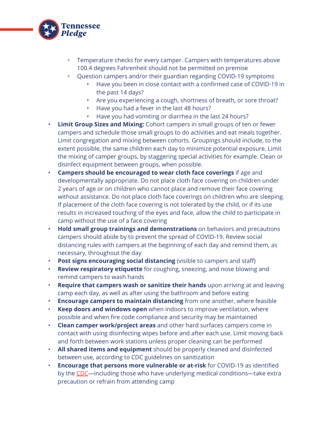

- Temperature checks for every camper. Campers with temperatures above 100.4 degrees Fahrenheit should not be permitted on premise
- Question campers and/or their guardian regarding COVID-19 symptoms
	- Have you been in close contact with a confirmed case of COVID-19 in the past 14 days?
	- Are you experiencing a cough, shortness of breath, or sore throat?
	- Have you had a fever in the last 48 hours?
	- Have you had vomiting or diarrhea in the last 24 hours?
- **Limit Group Sizes and Mixing:** Cohort campers in small groups of ten or fewer campers and schedule those small groups to do activities and eat meals together. Limit congregation and mixing between cohorts. Groupings should include, to the extent possible, the same children each day to minimize potential exposure. Limit the mixing of camper groups, by staggering special activities for example. Clean or disinfect equipment between groups, when possible.
- **Campers should be encouraged to wear cloth face coverings** if age and developmentally appropriate. Do not place cloth face covering on children under 2 years of age or on children who cannot place and remove their face covering without assistance. Do not place cloth face coverings on children who are sleeping. If placement of the cloth face covering is not tolerated by the child, or if its use results in increased touching of the eyes and face, allow the child to participate in camp without the use of a face covering
- **Hold small group trainings and demonstrations** on behaviors and precautions campers should abide by to prevent the spread of COVID-19. Review social distancing rules with campers at the beginning of each day and remind them, as necessary, throughout the day
- **Post signs encouraging social distancing** (visible to campers and staff)
- **Review respiratory etiquette** for coughing, sneezing, and nose blowing and remind campers to wash hands
- **Require that campers wash or sanitize their hands** upon arriving at and leaving camp each day, as well as after using the bathroom and before eating
- **Encourage campers to maintain distancing** from one another, where feasible
- **Keep doors and windows open** when indoors to improve ventilation, where possible and when fire code compliance and security may be maintained
- **Clean camper work/project areas** and other hard surfaces campers come in contact with using disinfecting wipes before and after each use. Limit moving back and forth between work stations unless proper cleaning can be performed
- **All shared items and equipment** should be properly cleaned and disinfected between use, according to CDC guidelines on sanitization
- **Encourage that persons more vulnerable or at-risk** for COVID-19 as identified by the [CDC—](https://www.cdc.gov/coronavirus/2019-ncov/need-extra-precautions/index.html)including those who have underlying medical conditions—take extra precaution or refrain from attending camp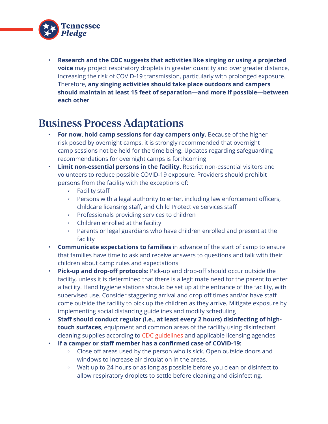

• **Research and the CDC suggests that activities like singing or using a projected voice** may project respiratory droplets in greater quantity and over greater distance, increasing the risk of COVID-19 transmission, particularly with prolonged exposure. Therefore, **any singing activities should take place outdoors and campers should maintain at least 15 feet of separation—and more if possible—between each other**

#### Business Process Adaptations

- **For now, hold camp sessions for day campers only.** Because of the higher risk posed by overnight camps, it is strongly recommended that overnight camp sessions not be held for the time being. Updates regarding safeguarding recommendations for overnight camps is forthcoming
- **Limit non-essential persons in the facility.** Restrict non-essential visitors and volunteers to reduce possible COVID-19 exposure. Providers should prohibit persons from the facility with the exceptions of:
	- Facility staff
	- Persons with a legal authority to enter, including law enforcement officers, childcare licensing staff, and Child Protective Services staff
	- Professionals providing services to children
	- Children enrolled at the facility
	- Parents or legal guardians who have children enrolled and present at the facility
- **Communicate expectations to families** in advance of the start of camp to ensure that families have time to ask and receive answers to questions and talk with their children about camp rules and expectations
- **Pick-up and drop-off protocols:** Pick-up and drop-off should occur outside the facility, unless it is determined that there is a legitimate need for the parent to enter a facility. Hand hygiene stations should be set up at the entrance of the facility, with supervised use. Consider staggering arrival and drop off times and/or have staff come outside the facility to pick up the children as they arrive. Mitigate exposure by implementing social distancing guidelines and modify scheduling
- **Staff should conduct regular (i.e., at least every 2 hours) disinfecting of hightouch surfaces**, equipment and common areas of the facility using disinfectant cleaning supplies according to [CDC guidelines](https://www.cdc.gov/coronavirus/2019-ncov/community/disinfecting-building-facility.html) and applicable licensing agencies
- **If a camper or staff member has a confirmed case of COVID-19:**
	- Close off areas used by the person who is sick. Open outside doors and windows to increase air circulation in the areas.
	- Wait up to 24 hours or as long as possible before you clean or disinfect to allow respiratory droplets to settle before cleaning and disinfecting.